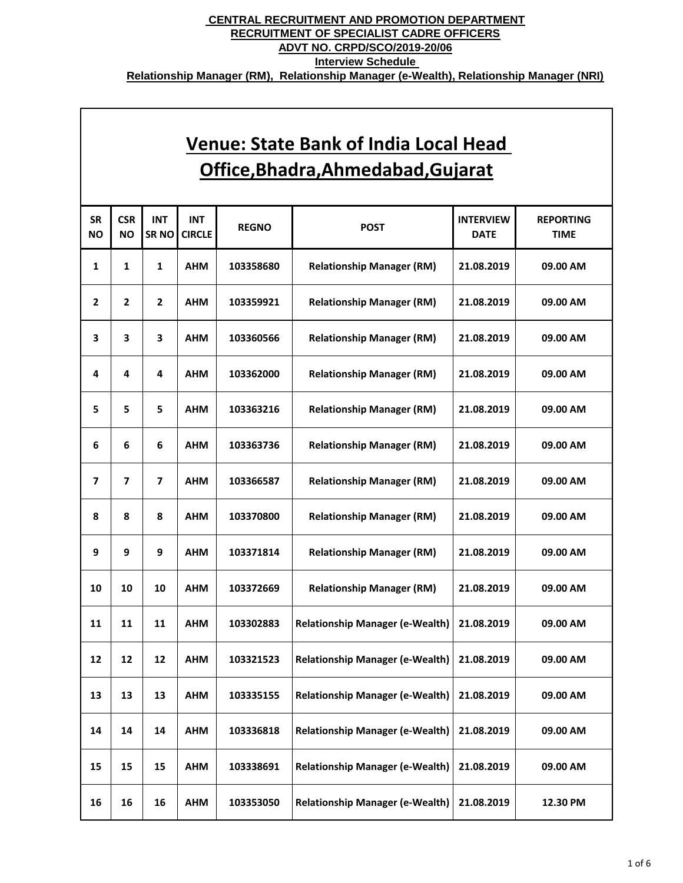| <b>SR</b><br><b>NO</b>  | <b>CSR</b><br><b>NO</b> | <b>INT</b><br>SR <sub>NO</sub> | <b>INT</b><br><b>CIRCLE</b> | <b>REGNO</b> | <b>POST</b>                            | <b>INTERVIEW</b><br><b>DATE</b> | <b>REPORTING</b><br><b>TIME</b> |
|-------------------------|-------------------------|--------------------------------|-----------------------------|--------------|----------------------------------------|---------------------------------|---------------------------------|
| 1                       | 1                       | $\mathbf{1}$                   | <b>AHM</b>                  | 103358680    | <b>Relationship Manager (RM)</b>       | 21.08.2019                      | 09.00 AM                        |
| $\mathbf{2}$            | 2                       | $\mathbf{2}$                   | <b>AHM</b>                  | 103359921    | <b>Relationship Manager (RM)</b>       | 21.08.2019                      | 09.00 AM                        |
| 3                       | 3                       | 3                              | <b>AHM</b>                  | 103360566    | <b>Relationship Manager (RM)</b>       | 21.08.2019                      | 09.00 AM                        |
| 4                       | 4                       | 4                              | <b>AHM</b>                  | 103362000    | <b>Relationship Manager (RM)</b>       | 21.08.2019                      | 09.00 AM                        |
| 5                       | 5                       | 5                              | <b>AHM</b>                  | 103363216    | <b>Relationship Manager (RM)</b>       | 21.08.2019                      | 09.00 AM                        |
| 6                       | 6                       | 6                              | <b>AHM</b>                  | 103363736    | <b>Relationship Manager (RM)</b>       | 21.08.2019                      | 09.00 AM                        |
| $\overline{\mathbf{z}}$ | $\overline{ }$          | $\overline{\mathbf{z}}$        | <b>AHM</b>                  | 103366587    | <b>Relationship Manager (RM)</b>       | 21.08.2019                      | 09.00 AM                        |
| 8                       | 8                       | 8                              | <b>AHM</b>                  | 103370800    | <b>Relationship Manager (RM)</b>       | 21.08.2019                      | 09.00 AM                        |
| 9                       | 9                       | 9                              | <b>AHM</b>                  | 103371814    | <b>Relationship Manager (RM)</b>       | 21.08.2019                      | 09.00 AM                        |
| 10                      | 10                      | 10                             | <b>AHM</b>                  | 103372669    | <b>Relationship Manager (RM)</b>       | 21.08.2019                      | 09.00 AM                        |
| 11                      | 11                      | 11                             | <b>AHM</b>                  | 103302883    | <b>Relationship Manager (e-Wealth)</b> | 21.08.2019                      | 09.00 AM                        |
| 12                      | 12                      | 12                             | <b>AHM</b>                  | 103321523    | <b>Relationship Manager (e-Wealth)</b> | 21.08.2019                      | 09.00 AM                        |
| 13                      | 13                      | 13                             | <b>AHM</b>                  | 103335155    | <b>Relationship Manager (e-Wealth)</b> | 21.08.2019                      | 09.00 AM                        |
| 14                      | 14                      | 14                             | <b>AHM</b>                  | 103336818    | <b>Relationship Manager (e-Wealth)</b> | 21.08.2019                      | 09.00 AM                        |
| 15                      | 15                      | 15                             | <b>AHM</b>                  | 103338691    | <b>Relationship Manager (e-Wealth)</b> | 21.08.2019                      | 09.00 AM                        |
| 16                      | 16                      | 16                             | <b>AHM</b>                  | 103353050    | <b>Relationship Manager (e-Wealth)</b> | 21.08.2019                      | 12.30 PM                        |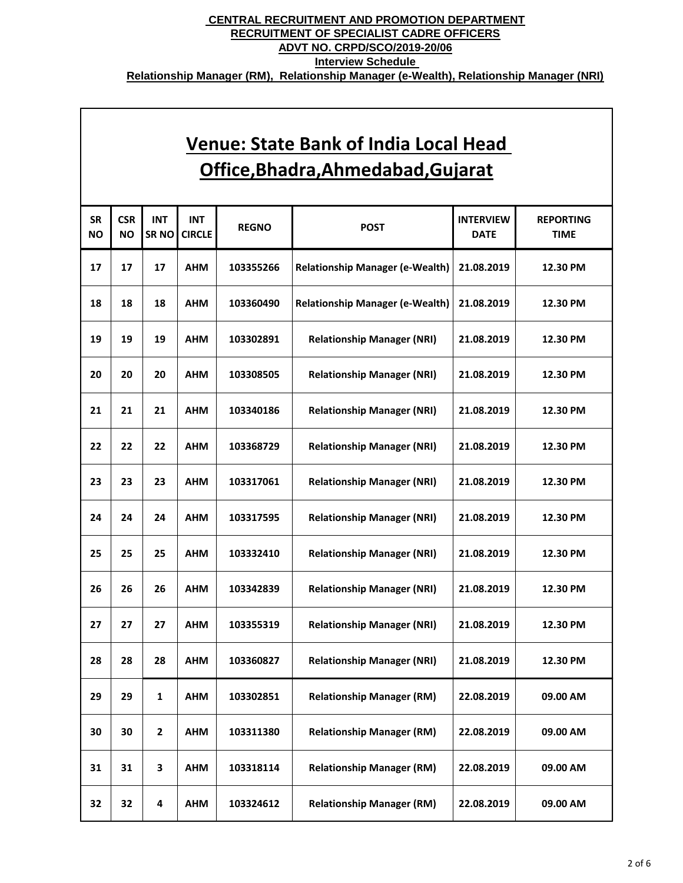| <b>SR</b><br><b>NO</b> | <b>CSR</b><br><b>NO</b> | <b>INT</b><br>SR <sub>NO</sub> | <b>INT</b><br><b>CIRCLE</b> | <b>REGNO</b> | <b>POST</b>                            | <b>INTERVIEW</b><br><b>DATE</b> | <b>REPORTING</b><br><b>TIME</b> |
|------------------------|-------------------------|--------------------------------|-----------------------------|--------------|----------------------------------------|---------------------------------|---------------------------------|
| 17                     | 17                      | 17                             | <b>AHM</b>                  | 103355266    | <b>Relationship Manager (e-Wealth)</b> | 21.08.2019                      | 12.30 PM                        |
| 18                     | 18                      | 18                             | <b>AHM</b>                  | 103360490    | <b>Relationship Manager (e-Wealth)</b> | 21.08.2019                      | 12.30 PM                        |
| 19                     | 19                      | 19                             | <b>AHM</b>                  | 103302891    | <b>Relationship Manager (NRI)</b>      | 21.08.2019                      | 12.30 PM                        |
| 20                     | 20                      | 20                             | <b>AHM</b>                  | 103308505    | <b>Relationship Manager (NRI)</b>      | 21.08.2019                      | 12.30 PM                        |
| 21                     | 21                      | 21                             | <b>AHM</b>                  | 103340186    | <b>Relationship Manager (NRI)</b>      | 21.08.2019                      | 12.30 PM                        |
| 22                     | 22                      | 22                             | <b>AHM</b>                  | 103368729    | <b>Relationship Manager (NRI)</b>      | 21.08.2019                      | 12.30 PM                        |
| 23                     | 23                      | 23                             | <b>AHM</b>                  | 103317061    | <b>Relationship Manager (NRI)</b>      | 21.08.2019                      | 12.30 PM                        |
| 24                     | 24                      | 24                             | <b>AHM</b>                  | 103317595    | <b>Relationship Manager (NRI)</b>      | 21.08.2019                      | 12.30 PM                        |
| 25                     | 25                      | 25                             | <b>AHM</b>                  | 103332410    | <b>Relationship Manager (NRI)</b>      | 21.08.2019                      | 12.30 PM                        |
| 26                     | 26                      | 26                             | <b>AHM</b>                  | 103342839    | <b>Relationship Manager (NRI)</b>      | 21.08.2019                      | 12.30 PM                        |
| 27                     | 27                      | 27                             | <b>AHM</b>                  | 103355319    | <b>Relationship Manager (NRI)</b>      | 21.08.2019                      | 12.30 PM                        |
| 28                     | 28                      | 28                             | <b>AHM</b>                  | 103360827    | <b>Relationship Manager (NRI)</b>      | 21.08.2019                      | 12.30 PM                        |
| 29                     | 29                      | 1                              | <b>AHM</b>                  | 103302851    | <b>Relationship Manager (RM)</b>       | 22.08.2019                      | 09.00 AM                        |
| 30                     | 30                      | $\mathbf 2$                    | <b>AHM</b>                  | 103311380    | <b>Relationship Manager (RM)</b>       | 22.08.2019                      | 09.00 AM                        |
| 31                     | 31                      | 3                              | <b>AHM</b>                  | 103318114    | <b>Relationship Manager (RM)</b>       | 22.08.2019                      | 09.00 AM                        |
| 32                     | 32                      | 4                              | <b>AHM</b>                  | 103324612    | <b>Relationship Manager (RM)</b>       | 22.08.2019                      | 09.00 AM                        |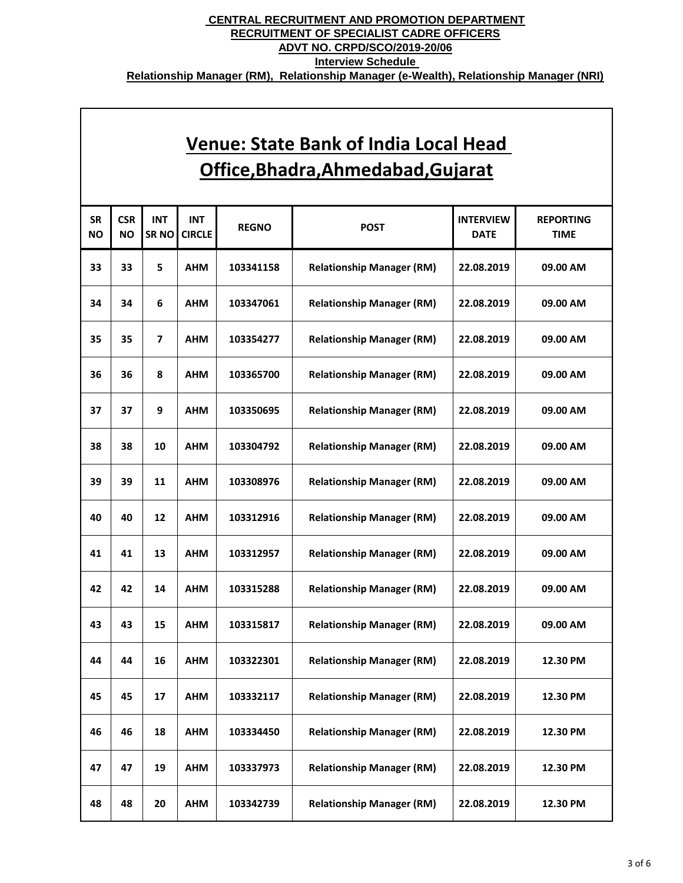| <b>SR</b><br><b>NO</b> | <b>CSR</b><br><b>NO</b> | <b>INT</b><br>SR <sub>NO</sub> | <b>INT</b><br><b>CIRCLE</b> | <b>REGNO</b> | <b>POST</b>                      | <b>INTERVIEW</b><br><b>DATE</b> | <b>REPORTING</b><br><b>TIME</b> |
|------------------------|-------------------------|--------------------------------|-----------------------------|--------------|----------------------------------|---------------------------------|---------------------------------|
| 33                     | 33                      | 5                              | <b>AHM</b>                  | 103341158    | <b>Relationship Manager (RM)</b> | 22.08.2019                      | 09.00 AM                        |
| 34                     | 34                      | 6                              | <b>AHM</b>                  | 103347061    | <b>Relationship Manager (RM)</b> | 22.08.2019                      | 09.00 AM                        |
| 35                     | 35                      | $\overline{\mathbf{z}}$        | <b>AHM</b>                  | 103354277    | <b>Relationship Manager (RM)</b> | 22.08.2019                      | 09.00 AM                        |
| 36                     | 36                      | 8                              | <b>AHM</b>                  | 103365700    | <b>Relationship Manager (RM)</b> | 22.08.2019                      | 09.00 AM                        |
| 37                     | 37                      | 9                              | <b>AHM</b>                  | 103350695    | <b>Relationship Manager (RM)</b> | 22.08.2019                      | 09.00 AM                        |
| 38                     | 38                      | 10                             | <b>AHM</b>                  | 103304792    | <b>Relationship Manager (RM)</b> | 22.08.2019                      | 09.00 AM                        |
| 39                     | 39                      | 11                             | <b>AHM</b>                  | 103308976    | <b>Relationship Manager (RM)</b> | 22.08.2019                      | 09.00 AM                        |
| 40                     | 40                      | 12                             | <b>AHM</b>                  | 103312916    | <b>Relationship Manager (RM)</b> | 22.08.2019                      | 09.00 AM                        |
| 41                     | 41                      | 13                             | <b>AHM</b>                  | 103312957    | <b>Relationship Manager (RM)</b> | 22.08.2019                      | 09.00 AM                        |
| 42                     | 42                      | 14                             | <b>AHM</b>                  | 103315288    | <b>Relationship Manager (RM)</b> | 22.08.2019                      | 09.00 AM                        |
| 43                     | 43                      | 15                             | <b>AHM</b>                  | 103315817    | <b>Relationship Manager (RM)</b> | 22.08.2019                      | 09.00 AM                        |
| 44                     | 44                      | 16                             | <b>AHM</b>                  | 103322301    | <b>Relationship Manager (RM)</b> | 22.08.2019                      | 12.30 PM                        |
| 45                     | 45                      | 17                             | <b>AHM</b>                  | 103332117    | <b>Relationship Manager (RM)</b> | 22.08.2019                      | 12.30 PM                        |
| 46                     | 46                      | 18                             | <b>AHM</b>                  | 103334450    | <b>Relationship Manager (RM)</b> | 22.08.2019                      | 12.30 PM                        |
| 47                     | 47                      | 19                             | <b>AHM</b>                  | 103337973    | <b>Relationship Manager (RM)</b> | 22.08.2019                      | 12.30 PM                        |
| 48                     | 48                      | 20                             | <b>AHM</b>                  | 103342739    | <b>Relationship Manager (RM)</b> | 22.08.2019                      | 12.30 PM                        |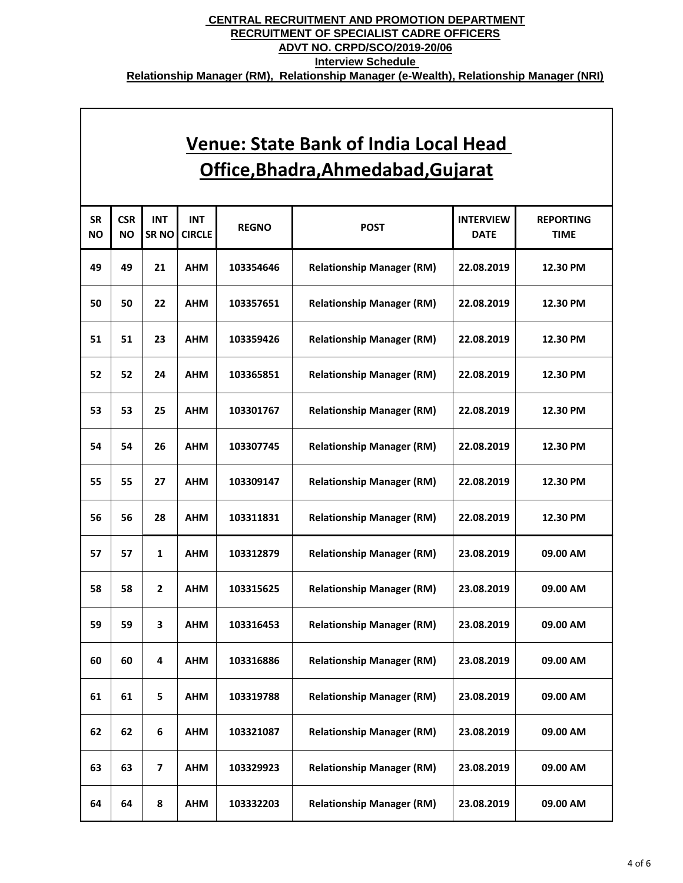| <b>SR</b><br><b>NO</b> | <b>CSR</b><br><b>NO</b> | <b>INT</b><br>SR <sub>NO</sub> | <b>INT</b><br><b>CIRCLE</b> | <b>REGNO</b> | <b>POST</b>                      | <b>INTERVIEW</b><br><b>DATE</b> | <b>REPORTING</b><br><b>TIME</b> |
|------------------------|-------------------------|--------------------------------|-----------------------------|--------------|----------------------------------|---------------------------------|---------------------------------|
| 49                     | 49                      | 21                             | <b>AHM</b>                  | 103354646    | <b>Relationship Manager (RM)</b> | 22.08.2019                      | 12.30 PM                        |
| 50                     | 50                      | 22                             | <b>AHM</b>                  | 103357651    | <b>Relationship Manager (RM)</b> | 22.08.2019                      | 12.30 PM                        |
| 51                     | 51                      | 23                             | <b>AHM</b>                  | 103359426    | <b>Relationship Manager (RM)</b> | 22.08.2019                      | 12.30 PM                        |
| 52                     | 52                      | 24                             | <b>AHM</b>                  | 103365851    | <b>Relationship Manager (RM)</b> | 22.08.2019                      | 12.30 PM                        |
| 53                     | 53                      | 25                             | <b>AHM</b>                  | 103301767    | <b>Relationship Manager (RM)</b> | 22.08.2019                      | 12.30 PM                        |
| 54                     | 54                      | 26                             | <b>AHM</b>                  | 103307745    | <b>Relationship Manager (RM)</b> | 22.08.2019                      | 12.30 PM                        |
| 55                     | 55                      | 27                             | <b>AHM</b>                  | 103309147    | <b>Relationship Manager (RM)</b> | 22.08.2019                      | 12.30 PM                        |
| 56                     | 56                      | 28                             | <b>AHM</b>                  | 103311831    | <b>Relationship Manager (RM)</b> | 22.08.2019                      | 12.30 PM                        |
| 57                     | 57                      | 1                              | <b>AHM</b>                  | 103312879    | <b>Relationship Manager (RM)</b> | 23.08.2019                      | 09.00 AM                        |
| 58                     | 58                      | $\overline{2}$                 | <b>AHM</b>                  | 103315625    | <b>Relationship Manager (RM)</b> | 23.08.2019                      | 09.00 AM                        |
| 59                     | 59                      | 3                              | <b>AHM</b>                  | 103316453    | <b>Relationship Manager (RM)</b> | 23.08.2019                      | 09.00 AM                        |
| 60                     | 60                      | 4                              | <b>AHM</b>                  | 103316886    | <b>Relationship Manager (RM)</b> | 23.08.2019                      | 09.00 AM                        |
| 61                     | 61                      | 5                              | <b>AHM</b>                  | 103319788    | <b>Relationship Manager (RM)</b> | 23.08.2019                      | 09.00 AM                        |
| 62                     | 62                      | 6                              | <b>AHM</b>                  | 103321087    | <b>Relationship Manager (RM)</b> | 23.08.2019                      | 09.00 AM                        |
| 63                     | 63                      | $\overline{\mathbf{z}}$        | <b>AHM</b>                  | 103329923    | <b>Relationship Manager (RM)</b> | 23.08.2019                      | 09.00 AM                        |
| 64                     | 64                      | 8                              | <b>AHM</b>                  | 103332203    | <b>Relationship Manager (RM)</b> | 23.08.2019                      | 09.00 AM                        |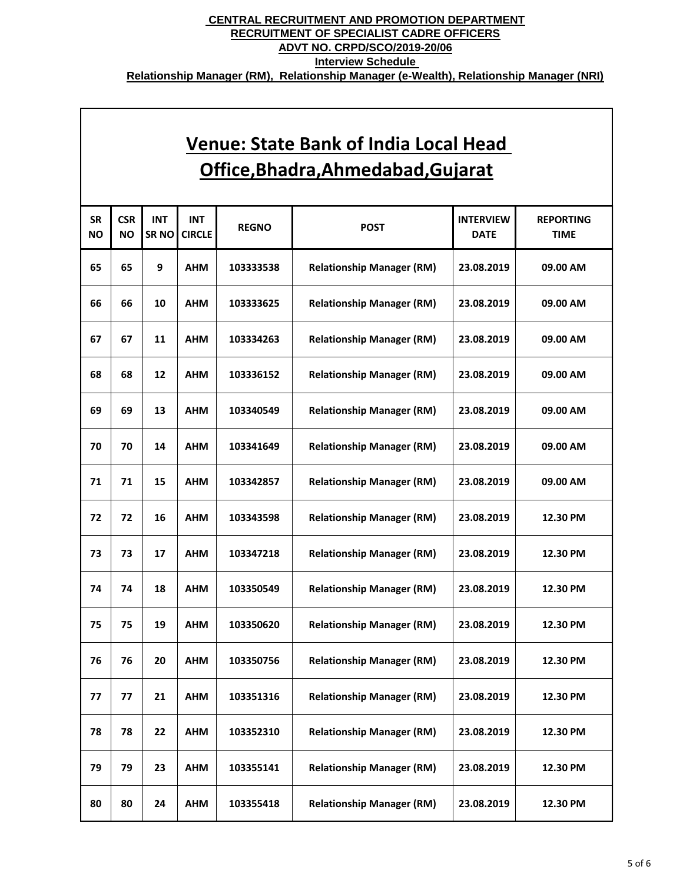| <b>SR</b><br><b>NO</b> | <b>CSR</b><br><b>NO</b> | <b>INT</b><br>SR <sub>NO</sub> | <b>INT</b><br><b>CIRCLE</b> | <b>REGNO</b> | <b>POST</b>                      | <b>INTERVIEW</b><br><b>DATE</b> | <b>REPORTING</b><br><b>TIME</b> |
|------------------------|-------------------------|--------------------------------|-----------------------------|--------------|----------------------------------|---------------------------------|---------------------------------|
| 65                     | 65                      | 9                              | <b>AHM</b>                  | 103333538    | <b>Relationship Manager (RM)</b> | 23.08.2019                      | 09.00 AM                        |
| 66                     | 66                      | 10                             | <b>AHM</b>                  | 103333625    | <b>Relationship Manager (RM)</b> | 23.08.2019                      | 09.00 AM                        |
| 67                     | 67                      | 11                             | <b>AHM</b>                  | 103334263    | <b>Relationship Manager (RM)</b> | 23.08.2019                      | 09.00 AM                        |
| 68                     | 68                      | 12                             | <b>AHM</b>                  | 103336152    | <b>Relationship Manager (RM)</b> | 23.08.2019                      | 09.00 AM                        |
| 69                     | 69                      | 13                             | <b>AHM</b>                  | 103340549    | <b>Relationship Manager (RM)</b> | 23.08.2019                      | 09.00 AM                        |
| 70                     | 70                      | 14                             | <b>AHM</b>                  | 103341649    | <b>Relationship Manager (RM)</b> | 23.08.2019                      | 09.00 AM                        |
| 71                     | 71                      | 15                             | <b>AHM</b>                  | 103342857    | <b>Relationship Manager (RM)</b> | 23.08.2019                      | 09.00 AM                        |
| 72                     | 72                      | 16                             | <b>AHM</b>                  | 103343598    | <b>Relationship Manager (RM)</b> | 23.08.2019                      | 12.30 PM                        |
| 73                     | 73                      | 17                             | <b>AHM</b>                  | 103347218    | <b>Relationship Manager (RM)</b> | 23.08.2019                      | 12.30 PM                        |
| 74                     | 74                      | 18                             | <b>AHM</b>                  | 103350549    | <b>Relationship Manager (RM)</b> | 23.08.2019                      | 12.30 PM                        |
| 75                     | 75                      | 19                             | <b>AHM</b>                  | 103350620    | <b>Relationship Manager (RM)</b> | 23.08.2019                      | 12.30 PM                        |
| 76                     | 76                      | 20                             | <b>AHM</b>                  | 103350756    | <b>Relationship Manager (RM)</b> | 23.08.2019                      | 12.30 PM                        |
| 77                     | 77                      | 21                             | <b>AHM</b>                  | 103351316    | <b>Relationship Manager (RM)</b> | 23.08.2019                      | 12.30 PM                        |
| 78                     | 78                      | 22                             | <b>AHM</b>                  | 103352310    | <b>Relationship Manager (RM)</b> | 23.08.2019                      | 12.30 PM                        |
| 79                     | 79                      | 23                             | <b>AHM</b>                  | 103355141    | <b>Relationship Manager (RM)</b> | 23.08.2019                      | 12.30 PM                        |
| 80                     | 80                      | 24                             | <b>AHM</b>                  | 103355418    | <b>Relationship Manager (RM)</b> | 23.08.2019                      | 12.30 PM                        |